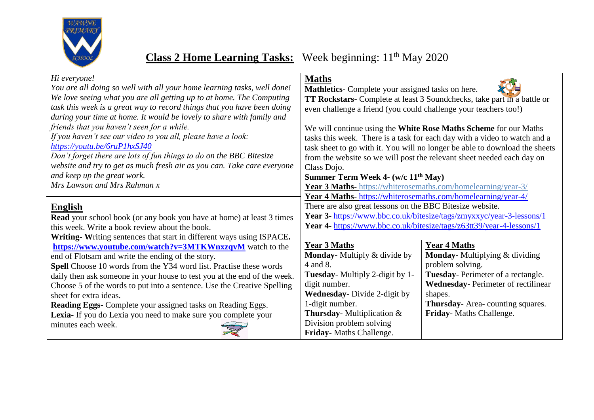

## **Class 2 Home Learning Tasks:** Week beginning: 11<sup>th</sup> May 2020

| Hi everyone!                                                                 | <b>Maths</b>                                                         |                                                                             |
|------------------------------------------------------------------------------|----------------------------------------------------------------------|-----------------------------------------------------------------------------|
| You are all doing so well with all your home learning tasks, well done!      | Mathletics- Complete your assigned tasks on here.                    |                                                                             |
| We love seeing what you are all getting up to at home. The Computing         |                                                                      | TT Rockstars- Complete at least 3 Soundchecks, take part in a battle or     |
| task this week is a great way to record things that you have been doing      | even challenge a friend (you could challenge your teachers too!)     |                                                                             |
| during your time at home. It would be lovely to share with family and        |                                                                      |                                                                             |
| friends that you haven't seen for a while.                                   |                                                                      | We will continue using the White Rose Maths Scheme for our Maths            |
| If you haven't see our video to you all, please have a look:                 |                                                                      | tasks this week. There is a task for each day with a video to watch and a   |
| https://youtu.be/6ruP1hxSJ40                                                 |                                                                      | task sheet to go with it. You will no longer be able to download the sheets |
| Don't forget there are lots of fun things to do on the BBC Bitesize          |                                                                      | from the website so we will post the relevant sheet needed each day on      |
| website and try to get as much fresh air as you can. Take care everyone      | Class Dojo.                                                          |                                                                             |
| and keep up the great work.                                                  | Summer Term Week 4- (w/c 11 <sup>th</sup> May)                       |                                                                             |
| Mrs Lawson and Mrs Rahman x                                                  | Year 3 Maths- https://whiterosemaths.com/homelearning/year-3/        |                                                                             |
|                                                                              | <b>Year 4 Maths-</b> https://whiterosemaths.com/homelearning/year-4/ |                                                                             |
| <b>English</b>                                                               | There are also great lessons on the BBC Bitesize website.            |                                                                             |
| <b>Read</b> your school book (or any book you have at home) at least 3 times | Year 3- https://www.bbc.co.uk/bitesize/tags/zmyxxyc/year-3-lessons/1 |                                                                             |
| this week. Write a book review about the book.                               |                                                                      | Year 4- https://www.bbc.co.uk/bitesize/tags/z63tt39/year-4-lessons/1        |
| Writing-Writing sentences that start in different ways using ISPACE.         |                                                                      |                                                                             |
| https://www.youtube.com/watch?v=3MTKWnxzqvM watch to the                     | <b>Year 3 Maths</b>                                                  | <b>Year 4 Maths</b>                                                         |
| end of Flotsam and write the ending of the story.                            | Monday-Multiply & divide by                                          | <b>Monday-</b> Multiplying & dividing                                       |
| Spell Choose 10 words from the Y34 word list. Practise these words           | 4 and 8.                                                             | problem solving.                                                            |
| daily then ask someone in your house to test you at the end of the week.     | <b>Tuesday-</b> Multiply 2-digit by 1-                               | Tuesday-Perimeter of a rectangle.                                           |
| Choose 5 of the words to put into a sentence. Use the Creative Spelling      | digit number.                                                        | <b>Wednesday-Perimeter of rectilinear</b>                                   |
| sheet for extra ideas.                                                       | <b>Wednesday</b> - Divide 2-digit by                                 | shapes.                                                                     |
| <b>Reading Eggs-</b> Complete your assigned tasks on Reading Eggs.           | 1-digit number.                                                      | <b>Thursday-Area-counting squares.</b>                                      |
| Lexia- If you do Lexia you need to make sure you complete your               | <b>Thursday</b> - Multiplication $\&$                                | Friday-Maths Challenge.                                                     |
| minutes each week.                                                           | Division problem solving                                             |                                                                             |
|                                                                              | Friday-Maths Challenge.                                              |                                                                             |